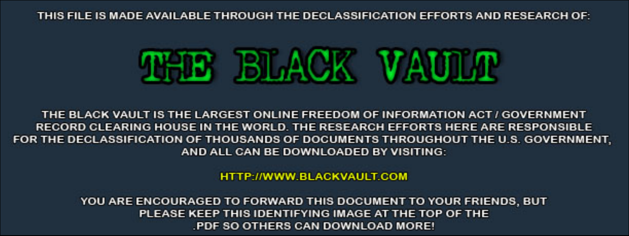THIS FILE IS MADE AVAILABLE THROUGH THE DECLASSIFICATION EFFORTS AND RESEARCH OF:



THE BLACK VAULT IS THE LARGEST ONLINE FREEDOM OF INFORMATION ACT / GOVERNMENT RECORD CLEARING HOUSE IN THE WORLD. THE RESEARCH EFFORTS HERE ARE RESPONSIBLE FOR THE DECLASSIFICATION OF THOUSANDS OF DOCUMENTS THROUGHOUT THE U.S. GOVERNMENT, AND ALL CAN BE DOWNLOADED BY VISITING:

**HTTP://WWW.BLACKVAULT.COM** 

YOU ARE ENCOURAGED TO FORWARD THIS DOCUMENT TO YOUR FRIENDS, BUT PLEASE KEEP THIS IDENTIFYING IMAGE AT THE TOP OF THE PDF SO OTHERS CAN DOWNLOAD MORE!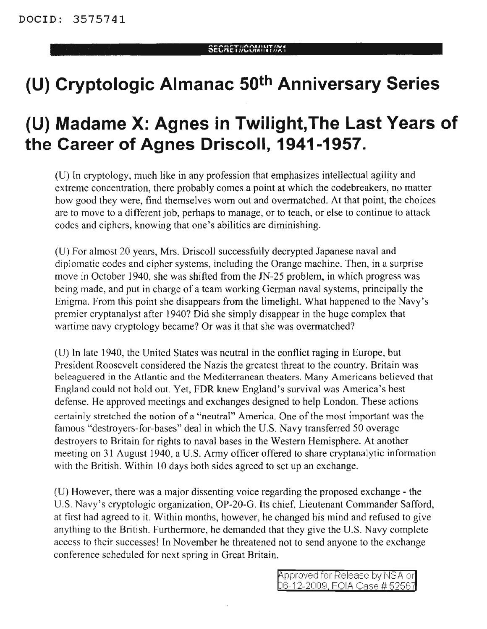## **(U) Cryptologic Almanac 50th Anniversary Series**

## **(U) Madame X: Agnes in Twilight,The Last Years of the Career of Agnes Driscoll, 1941-1957.**

(U) In cryptology, much like in any profession that emphasizes intellectual agility and extreme concentration, there probably comes a point at which the codebreakers, no matter how good they were, find themselves worn out and overmatched. At that point, the choices are to move to a different job, perhaps to manage, or to teach, or else to continue to attack codes and ciphers, knowing that one's abilities are diminishing.

(U) For almost 20 years, Mrs. Driscoll successfully decrypted Japanese naval and diplomatic codes and cipher systems, including the Orange machine. Then, in a surprise move in October 1940, she was shifted from the IN-25 problem, in which progress was being made, and put in charge of a team working German naval systems, principally the Enigma. From this point she disappears from the limelight. What happened to the Navy's premier cryptanalyst after 1940? Did she simply disappear in the huge complex that wartime navy cryptology became? Or was it that she was overmatched?

(U) In late 1940, the United States was neutral in the conflict raging in Europe, but President Roosevelt considered the Nazis the greatest threat to the country. Britain was beleaguered in the Atlantic and the Mediterranean theaters. Many Americans believed that England could not hold out. Yet, FDR knew England's survival was America's best defense. He approved meetings and exchanges designed to help London. These actions certainly stretched the notion of a "neutral" America. One of the most important was the famous "destroyers-for-bases" deal in which the U.S. Navy transferred 50 overage destroyers to Britain for rights to naval bases in the Western Hemisphere. At another meeting on 31 August 1940, a U.S. Army officer offered to share cryptanalytic information with the British. Within 10 days both sides agreed to set up an exchange.

(U) However, there was a major dissenting voice regarding the proposed exchange - the U.S. Navy's cryptologic organization, OP-20-G. Its chief, Lieutenant Commander Safford, at first had agreed to it. Within months, however, he changed his mind and refused to give anything to the British. Furthermore, he demanded that they give the U.S. Navy complete access to their successes! In November he threatened not to send anyone to the exchange conference scheduled for next spring in Great Britain.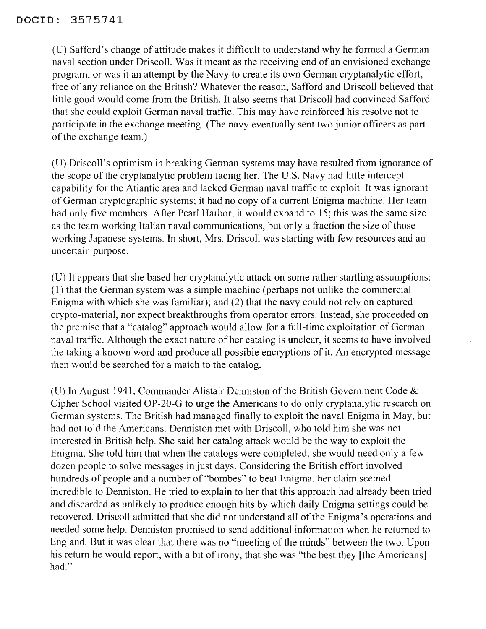(U) Safford's change of attitude makes it difficult to understand why he formed a German naval section under Driscoll. Was it meant as the receiving end of an envisioned exchange program, or was it an attempt by the Navy to create its own German cryptanalytic effort, free of any reliance on the British? Whatever the reason, Safford and Driscoll believed that little good would come from the British. It also seems that Driscoll had convinced Safford that she could exploit German naval traffic. This may have reinforced his resolve not to participate in the exchange meeting. (The navy eventually sent two junior officers as part of the exchange team.)

(U) Driscoll's optimism in breaking German systems may have resulted from ignorance of the scope of the cryptanalytic problem facing her. The U.S. Navy had little intercept capability for the Atlantic area and lacked German naval traffic to exploit. It was ignorant of Gennan cryptographic systems; it had no copy of a current Enigma machine. Her team had only five members. After Pearl Harbor, it would expand to 15; this was the same size as the team working Italian naval communications, but only a fraction the size of those working Japanese systems. In short, Mrs. Driscoll was starting with few resources and an uncertain purpose.

(U) It appears that she based her cryptanalytic attack on some rather startling assumptions: (1) that the German system was a simple machine (perhaps not unlike the commercial Enigma with which she was familiar); and (2) that the navy could not rely on captured crypto-material, nor expect breakthroughs from operator errors. Instead, she proceeded on the premise that a "catalog" approach would allow for a full-time exploitation of German naval traffic. Although the exact nature of her catalog is unclear, it seems to have involved the taking a known word and produce all possible encryptions of it. An encrypted message then would be searched for a match to the catalog.

(U) In August 1941, Commander Alistair Denniston of the British Government Code  $\&$ Cipher School visited OP-20-G to urge the Americans to do only cryptanalytic research on German systems. The British had managed finally to exploit the naval Enigma in May, but had not told the Americans. Denniston met with Driscoll, who told him she was not interested in British help. She said her catalog attack would be the way to exploit the Enigma. She told him that when the catalogs were completed, she would need only a few dozen people to solve messages in just days. Considering the British effort involved hundreds of people and a number of "bombes" to beat Enigma, her claim seemed incredible to Denniston. He tried to explain to her that this approach had already been tried and discarded as unlikely to produce enough hits by which daily Enigma settings could be recovered. Driscoll admitted that she did not understand all of the Enigma's operations and needed some help. Denniston promised to send additional information when he returned to England. But it was clear that there was no "meeting of the minds" between the two. Upon his return he would report, with a bit of irony, that she was "the best they [the Americans] had."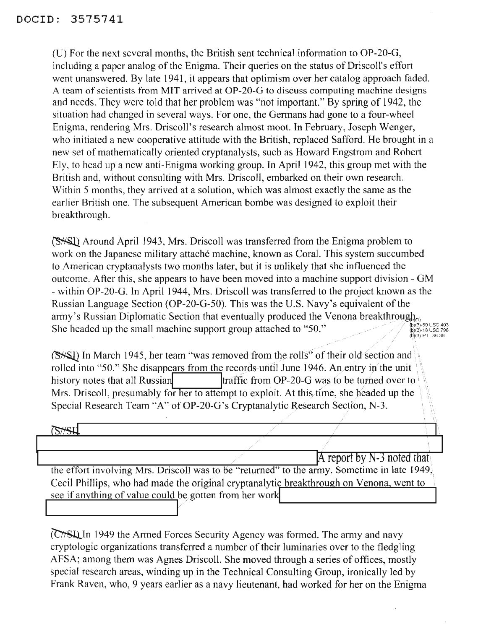(U) For the next several months, the British sent technical information to OP-20-G, including a paper analog of the Enigma. Their queries on the status of Driscoll's effort went unanswered. By late 1941, it appears that optimism over her catalog approach faded. A team of scientists from MIT arrived at OP-20-G to discuss computing machine designs and needs. They were told that her problem was "not important." By spring of 1942, the situation had changed in several ways. For one, the Germans had gone to a four-wheel Enigma, rendering Mrs. Driscoll's research almost moot. In February, Joseph Wenger, who initiated a new cooperative attitude with the British, replaced Safford. He brought in a new set of mathematically oriented cryptanalysts, such as Howard Engstrom and Robert Ely, to head up a new anti-Enigma working group. In April 1942, this group met with the British and, without consulting with Mrs. Driscoll, embarked on their own research. Within 5 months, they arrived at a solution, which was almost exactly the same as the earlier British one. The subsequent American bombe was designed to exploit their breakthrough.

Around April 1943, Mrs. Driscoll was transferred from the Enigma problem to work on the Japanese military attaché machine, known as Coral. This system succumbed to American cryptanalysts two months later, but it is unlikely that she influenced the outcome. After this, she appears to have been moved into a machine support division - GM - within OP-20-G. In April 1944, Mrs. Driscoll was transferred to the project known as the Russian Language Section (OP-20-G-50). This was the U.S. Navy's equivalent of the army's Russian Diplomatic Section that eventually produced the Venona breakthrough<sub>en</sub> She headed up the small machine support group attached to "50." {b)(3)-50 USC 403<br>(b)(3)-18 USC 798<br>(b)(3)-P.L. 86-36

(S<sup>\*</sup>S<sup>I</sup>) In March 1945, her team "was removed from the rolls" of their old section and rolled into "50." She disappears from the records until June 1946. An entry in the unit history notes that all Russian Itraffic from OP-20-G was to be turned over to Mrs. Driscoll, presumably for her to attempt to exploit. At this time, she headed up the Special Research Team "A" of OP-20-G's Cryptanalytic Research Section, N-3.

## $\sqrt{2\sqrt{2}}$

A report by  $N-3$  noted that the effort involving Mrs. Driscoll was to be "returned" to the army. Sometime in late 1949, Cecil Phillips, who had made the original cryptanalytic breakthrough on Venona, went to see if anything of value could be gotten from her work.

(C<sub>1</sub>SL) In 1949 the Armed Forces Security Agency was formed. The army and navy cryptologic organizations transferred a number of their luminaries over to the fledgling AFSA; among them was Agnes Driscoll. She moved through a series of offices, mostly special research areas, winding up in the Technical Consulting Group, ironically led by Frank Raven, who, 9 years earlier as a navy lieutenant, had worked for her on the Enigma